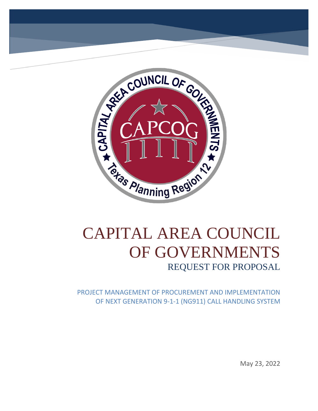

# CAPITAL AREA COUNCIL OF GOVERNMENTS REQUEST FOR PROPOSAL

PROJECT MANAGEMENT OF PROCUREMENT AND IMPLEMENTATION OF NEXT GENERATION 9-1-1 (NG911) CALL HANDLING SYSTEM

May 23, 2022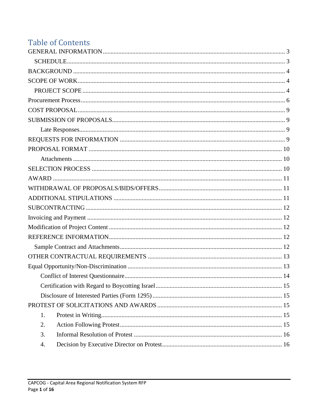# **Table of Contents**

| 1. |
|----|
| 2. |
| 3. |
| 4. |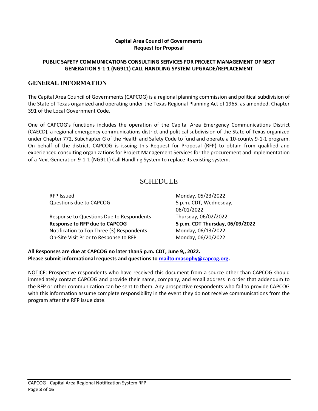#### **Capital Area Council of Governments Request for Proposal**

#### **PUBLIC SAFETY COMMUNICATIONS CONSULTING SERVICES FOR PROJECT MANAGEMENT OF NEXT GENERATION 9-1-1 (NG911) CALL HANDLING SYSTEM UPGRADE/REPLACEMENT**

## <span id="page-3-0"></span>**GENERAL INFORMATION**

The Capital Area Council of Governments (CAPCOG) is a regional planning commission and political subdivision of the State of Texas organized and operating under the Texas Regional Planning Act of 1965, as amended, Chapter 391 of the Local Government Code.

One of CAPCOG's functions includes the operation of the Capital Area Emergency Communications District (CAECD), a regional emergency communications district and political subdivision of the State of Texas organized under Chapter 772, Subchapter G of the Health and Safety Code to fund and operate a 10-county 9-1-1 program. On behalf of the district, CAPCOG is issuing this Request for Proposal (RFP) to obtain from qualified and experienced consulting organizations for Project Management Services for the procurement and implementation of a Next Generation 9-1-1 (NG911) Call Handling System to replace its existing system.

## SCHEDULE

<span id="page-3-1"></span>RFP Issued **Monday, 05/23/2022** Questions due to CAPCOG 5 p.m. CDT, Wednesday,

Response to Questions Due to Respondents Thursday, 06/02/2022 **Response to RFP due to CAPCOG 5 p.m. CDT Thursday, 06/09/2022** Notification to Top Three (3) Respondents Monday, 06/13/2022 On-Site Visit Prior to Response to RFP Monday, 06/20/2022

06/01/2022

**All Responses are due at CAPCOG no later than5 p.m. CDT, June 9,, 2022. Please submit informational requests and questions to [mailto:masophy@capcog.org.](mailto:masophy@capcog.org)**

NOTICE: Prospective respondents who have received this document from a source other than CAPCOG should immediately contact CAPCOG and provide their name, company, and email address in order that addendum to the RFP or other communication can be sent to them. Any prospective respondents who fail to provide CAPCOG with this information assume complete responsibility in the event they do not receive communications from the program after the RFP issue date.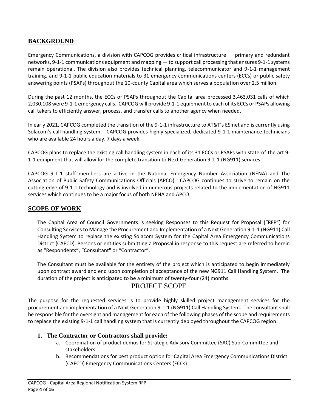## <span id="page-4-0"></span>**BACKGROUND**

Emergency Communications, a division with CAPCOG provides critical infrastructure — primary and redundant networks, 9-1-1 communications equipment and mapping — to support call processing that ensures 9-1-1 systems remain operational. The division also provides technical planning, telecommunicator and 9-1-1 management training, and 9-1-1 public education materials to 31 emergency communications centers (ECCs) or public safety answering points (PSAPs) throughout the 10-county Capital area which serves a population over 2.5 million.

During the past 12 months, the ECCs or PSAPs throughout the Capital area processed 3,463,031 calls of which 2,030,108 were 9-1-1 emergency calls. CAPCOG will provide 9-1-1 equipment to each of its ECCs or PSAPs allowing call takers to efficiently answer, process, and transfer calls to another agency when needed.

In early 2021, CAPCOG completed the transition of the 9-1-1 infrastructure to AT&T's ESInet and is currently using Solacom's call handling system. CAPCOG provides highly specialized, dedicated 9-1-1 maintenance technicians who are available 24 hours a day, 7 days a week.

CAPCOG plans to replace the existing call handling system in each of its 31 ECCs or PSAPs with state-of-the-art 9- 1-1 equipment that will allow for the complete transition to Next Generation 9-1-1 (NG911) services.

CAPCOG 9-1-1 staff members are active in the National Emergency Number Association (NENA) and The Association of Public Safety Communications Officials (APCO). CAPCOG continues to strive to remain on the cutting edge of 9-1-1 technology and is involved in numerous projects related to the implementation of NG911 services which continues to be a major focus of both NENA and APCO.

## <span id="page-4-1"></span>**SCOPE OF WORK**

The Capital Area of Council Governments is seeking Responses to this Request for Proposal ("RFP") for Consulting Services to Manage the Procurement and Implementation of a Next Generation 9-1-1 (NG911) Call Handling System to replace the existing Solacom System for the Capital Area Emergency Communications District (CAECD). Persons or entities submitting a Proposal in response to this request are referred to herein as "Respondents", "Consultant" or "Contractor".

The Consultant must be available for the entirety of the project which is anticipated to begin immediately upon contract award and end upon completion of acceptance of the new NG911 Call Handling System. The duration of the project is anticipated to be a minimum of twenty-four (24) months.

## PROJECT SCOPE

<span id="page-4-2"></span>The purpose for the requested services is to provide highly skilled project management services for the procurement and implementation of a Next Generation 9-1-1 (NG911) Call Handling System. The consultant shall be responsible for the oversight and management for each of the following phases of the scope and requirements to replace the existing 9-1-1 call handling system that is currently deployed throughout the CAPCOG region.

## **1. The Contractor or Contractors shall provide:**

- a. Coordination of product demos for Strategic Advisory Committee (SAC) Sub-Committee and stakeholders
- b. Recommendations for best product option for Capital Area Emergency Communications District (CAECD) Emergency Communications Centers (ECCs)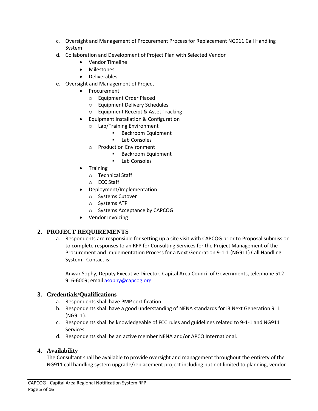- c. Oversight and Management of Procurement Process for Replacement NG911 Call Handling System
- d. Collaboration and Development of Project Plan with Selected Vendor
	- Vendor Timeline
	- Milestones
	- Deliverables
- e. Oversight and Management of Project
	- Procurement
		- o Equipment Order Placed
		- o Equipment Delivery Schedules
		- o Equipment Receipt & Asset Tracking
	- Equipment Installation & Configuration
		- o Lab/Training Environment
			- Backroom Equipment
			- Lab Consoles
		- o Production Environment
			- Backroom Equipment
			- Lab Consoles
	- **Training** 
		- o Technical Staff
		- o ECC Staff
	- Deployment/Implementation
		- o Systems Cutover
		- o Systems ATP
		- o Systems Acceptance by CAPCOG
	- Vendor Invoicing

## **2. PROJECT REQUIREMENTS**

a. Respondents are responsible for setting up a site visit with CAPCOG prior to Proposal submission to complete responses to an RFP for Consulting Services for the Project Management of the Procurement and Implementation Process for a Next Generation 9-1-1 (NG911) Call Handling System. Contact is:

Anwar Sophy, Deputy Executive Director, Capital Area Council of Governments, telephone 512‐ 916-6009; email [asophy@capcog.org](mailto:asophy@capcog.org)

## **3. Credentials/Qualifications**

- a. Respondents shall have PMP certification.
- b. Respondents shall have a good understanding of NENA standards for i3 Next Generation 911 (NG911).
- c. Respondents shall be knowledgeable of FCC rules and guidelines related to 9-1-1 and NG911 Services.
- d. Respondents shall be an active member NENA and/or APCO International.

#### **4. Availability**

The Consultant shall be available to provide oversight and management throughout the entirety of the NG911 call handling system upgrade/replacement project including but not limited to planning, vendor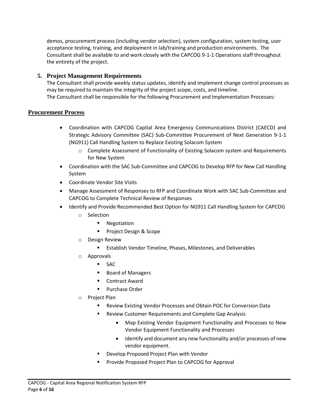demos, procurement process (including vendor selection), system configuration, system testing, user acceptance testing, training, and deployment in lab/training and production environments. The Consultant shall be available to and work closely with the CAPCOG 9-1-1 Operations staff throughout the entirety of the project.

## **5. Project Management Requirements**

The Consultant shall provide weekly status updates, identify and implement change control processes as may be required to maintain the integrity of the project scope, costs, and timeline. The Consultant shall be responsible for the following Procurement and Implementation Processes:

## <span id="page-6-0"></span>**Procurement Process**

- Coordination with CAPCOG Capital Area Emergency Communications District (CAECD) and Strategic Advisory Committee (SAC) Sub-Committee Procurement of Next Generation 9-1-1 (NG911) Call Handling System to Replace Existing Solacom System
	- o Complete Assessment of Functionality of Existing Solacom system and Requirements for New System
- Coordination with the SAC Sub-Committee and CAPCOG to Develop RFP for New Call Handling System
- Coordinate Vendor Site Visits
- Manage Assessment of Responses to RFP and Coordinate Work with SAC Sub-Committee and CAPCOG to Complete Technical Review of Responses
- Identify and Provide Recommended Best Option for NG911 Call Handling System for CAPCOG
	- o Selection
		- Negotiation
		- Project Design & Scope
	- o Design Review
		- Establish Vendor Timeline, Phases, Milestones, and Deliverables
	- o Approvals
		- SAC
		- Board of Managers
		- **Contract Award**
		- Purchase Order
	- o Project Plan
		- Review Existing Vendor Processes and Obtain POC for Conversion Data
		- Review Customer Requirements and Complete Gap Analysis
			- Map Existing Vendor Equipment Functionality and Processes to New Vendor Equipment Functionality and Processes
			- Identify and document any new functionality and/or processes of new vendor equipment.
		- Develop Proposed Project Plan with Vendor
		- Provide Proposed Project Plan to CAPCOG for Approval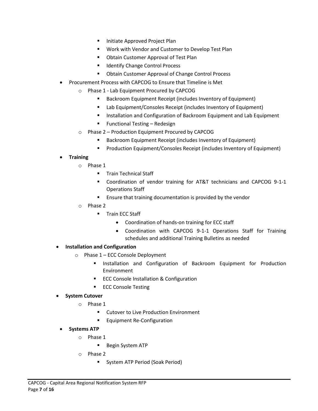- Initiate Approved Project Plan
- Work with Vendor and Customer to Develop Test Plan
- Obtain Customer Approval of Test Plan
- Identify Change Control Process
- Obtain Customer Approval of Change Control Process
- Procurement Process with CAPCOG to Ensure that Timeline is Met
	- o Phase 1 Lab Equipment Procured by CAPCOG
		- Backroom Equipment Receipt (includes Inventory of Equipment)
		- Lab Equipment/Consoles Receipt (includes Inventory of Equipment)
		- Installation and Configuration of Backroom Equipment and Lab Equipment
		- Functional Testing Redesign
	- o Phase 2 Production Equipment Procured by CAPCOG
		- Backroom Equipment Receipt (includes Inventory of Equipment)
		- Production Equipment/Consoles Receipt (includes Inventory of Equipment)

## • **Training**

- o Phase 1
	- **■** Train Technical Staff
	- Coordination of vendor training for AT&T technicians and CAPCOG 9-1-1 Operations Staff
	- Ensure that training documentation is provided by the vendor
- o Phase 2
	- Train ECC Staff
		- Coordination of hands-on training for ECC staff
		- Coordination with CAPCOG 9-1-1 Operations Staff for Training schedules and additional Training Bulletins as needed
- **Installation and Configuration**
	- o Phase 1 ECC Console Deployment
		- **■** Installation and Configuration of Backroom Equipment for Production Environment
		- ECC Console Installation & Configuration
		- ECC Console Testing
- **System Cutover**
	- o Phase 1
		- Cutover to Live Production Environment
		- Equipment Re-Configuration
	- **Systems ATP**
		- o Phase 1
			- Begin System ATP
		- o Phase 2
			- System ATP Period (Soak Period)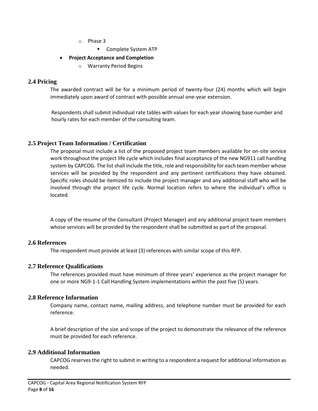- o Phase 3
	- Complete System ATP
- **Project Acceptance and Completion**
	- o Warranty Period Begins

#### **2.4 Pricing**

The awarded contract will be for a minimum period of twenty-four (24) months which will begin immediately upon award of contract with possible annual one-year extension.

Respondents shall submit individual rate tables with values for each year showing base number and hourly rates for each member of the consulting team.

## **2.5 Project Team Information / Certification**

The proposal must include a list of the proposed project team members available for on-site service work throughout the project life cycle which includes final acceptance of the new NG911 call handling system by CAPCOG. The list shall include the title, role and responsibility for each team member whose services will be provided by the respondent and any pertinent certifications they have obtained. Specific roles should be itemized to include the project manager and any additional staff who will be involved through the project life cycle. Normal location refers to where the individual's office is located.

A copy of the resume of the Consultant (Project Manager) and any additional project team members whose services will be provided by the respondent shall be submitted as part of the proposal.

#### **2.6 References**

The respondent must provide at least (3) references with similar scope of this RFP.

#### **2.7 Reference Qualifications**

The references provided must have minimum of three years' experience as the project manager for one or more NG9-1-1 Call Handling System implementations within the past five (5) years.

#### **2.8 Reference Information**

Company name, contact name, mailing address, and telephone number must be provided for each reference.

A brief description of the size and scope of the project to demonstrate the relevance of the reference must be provided for each reference.

#### **2.9 Additional Information**

CAPCOG reserves the right to submit in writing to a respondent a request for additional information as needed.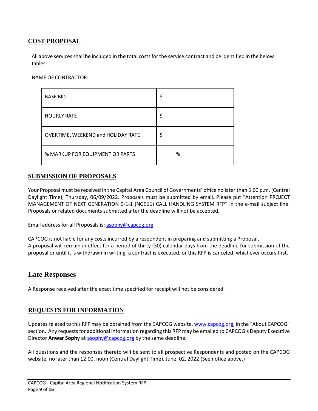## <span id="page-9-0"></span>**COST PROPOSAL**

All above servicesshall be included in the total costsforthe service contract and be identified in the below tables:

NAME OF CONTRACTOR:

| <b>BASE BID</b>                    | \$ |
|------------------------------------|----|
| <b>HOURLY RATE</b>                 | \$ |
| OVERTIME, WEEKEND and HOLIDAY RATE | \$ |
| % MARKUP FOR EQUIPMENT OR PARTS    | %  |

## <span id="page-9-1"></span>**SUBMISSION OF PROPOSALS**

Your Proposal must be received in the Capital Area Council of Governments' office no later than 5:00 p.m. (Central Daylight Time), Thursday, 06/09/2022. Proposals must be submitted by email. Please put "Attention PROJECT MANAGEMENT OF NEXT GENERATION 9-1-1 (NG911) CALL HANDLING SYSTEM RFP" in the e-mail subject line. Proposals or related documents submitted after the deadline will not be accepted.

Email address for all Proposals is[: asophy@capcog.org](mailto:asophy@capcog.org)

CAPCOG is not liable for any costs incurred by a respondent in preparing and submitting a Proposal. A proposal will remain in effect for a period of thirty (30) calendar days from the deadline for submission of the proposal or until it is withdrawn in writing, a contract is executed, or this RFP is canceled, whichever occurs first.

## <span id="page-9-2"></span>**Late Responses**

A Response received after the exact time specified for receipt will not be considered.

## <span id="page-9-3"></span>**REQUESTS FOR INFORMATION**

Updates related to this RFP may be obtained from the CAPCOG website, [www.capcog.org](http://www.capcog.org/), in the "About CAPCOG" section. Any requests for additional information regarding this RFP may be emailed to CAPCOG's Deputy Executive Director **Anwar Sophy** at [asophy@capcog.org](mailto:asophy@capcog.org) by the same deadline.

All questions and the responses thereto will be sent to all prospective Respondents and posted on the CAPCOG website, no later than 12:00, noon (Central Daylight Time), June, 02, 2022 (See notice above.)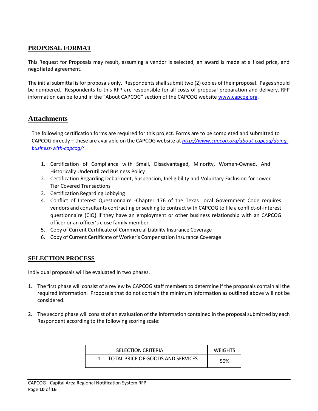## <span id="page-10-0"></span>**PROPOSAL FORMAT**

This Request for Proposals may result, assuming a vendor is selected, an award is made at a fixed price, and negotiated agreement.

The initial submittal is for proposals only. Respondents shall submit two (2) copies of their proposal. Pages should be numbered. Respondents to this RFP are responsible for all costs of proposal preparation and delivery. RFP information can be found in the "About CAPCOG" section of the CAPCOG website [www.capcog.org.](http://www.capcog.org/)

## <span id="page-10-1"></span>**Attachments**

The following certification forms are required for this project. Forms are to be completed and submitted to CAPCOG directly – these are available on the CAPCOG website at *<http://www.capcog.org/about>‐capcog/doing‐ business‐with‐capcog/:*

- 1. Certification of Compliance with Small, Disadvantaged, Minority, Women‐Owned, And Historically Underutilized Business Policy
- 2. Certification Regarding Debarment, Suspension, Ineligibility and Voluntary Exclusion for Lower‐ Tier Covered Transactions
- 3. Certification Regarding Lobbying
- 4. Conflict of Interest Questionnaire ‐Chapter 176 of the Texas Local Government Code requires vendors and consultants contracting or seeking to contract with CAPCOG to file a conflict-of-interest questionnaire (CIQ) if they have an employment or other business relationship with an CAPCOG officer or an officer's close family member.
- 5. Copy of Current Certificate of Commercial Liability Insurance Coverage
- 6. Copy of Current Certificate of Worker's Compensation Insurance Coverage

## <span id="page-10-2"></span>**SELECTION PROCESS**

Individual proposals will be evaluated in two phases.

- 1. The first phase will consist of a review by CAPCOG staff members to determine if the proposals contain all the required information. Proposals that do not contain the minimum information as outlined above will not be considered.
- 2. The second phase will consist of an evaluation of the information contained in the proposal submitted by each Respondent according to the following scoring scale:

| SELECTION CRITERIA                | <b>WEIGHTS</b> |
|-----------------------------------|----------------|
| TOTAL PRICE OF GOODS AND SERVICES | 50%            |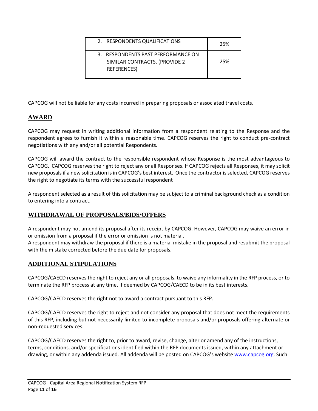| 2. RESPONDENTS QUALIFICATIONS                                                             | 25% |
|-------------------------------------------------------------------------------------------|-----|
| 3. RESPONDENTS PAST PERFORMANCE ON<br>SIMILAR CONTRACTS. (PROVIDE 2<br><b>REFERENCES)</b> | 25% |

CAPCOG will not be liable for any costs incurred in preparing proposals or associated travel costs.

## <span id="page-11-0"></span>**AWARD**

CAPCOG may request in writing additional information from a respondent relating to the Response and the respondent agrees to furnish it within a reasonable time. CAPCOG reserves the right to conduct pre-contract negotiations with any and/or all potential Respondents.

CAPCOG will award the contract to the responsible respondent whose Response is the most advantageous to CAPCOG. CAPCOG reserves the right to reject any or all Responses. If CAPCOG rejects all Responses, it may solicit new proposals if a new solicitation is in CAPCOG's best interest. Once the contractor is selected, CAPCOG reserves the right to negotiate its terms with the successful respondent

A respondent selected as a result of this solicitation may be subject to a criminal background check as a condition to entering into a contract.

## <span id="page-11-1"></span>**WITHDRAWAL OF PROPOSALS/BIDS/OFFERS**

A respondent may not amend its proposal after its receipt by CAPCOG. However, CAPCOG may waive an error in or omission from a proposal if the error or omission is not material.

A respondent may withdraw the proposal if there is a material mistake in the proposal and resubmit the proposal with the mistake corrected before the due date for proposals.

## <span id="page-11-2"></span>**ADDITIONAL STIPULATIONS**

CAPCOG/CAECD reserves the right to reject any or all proposals, to waive any informality in the RFP process, or to terminate the RFP process at any time, if deemed by CAPCOG/CAECD to be in its best interests.

CAPCOG/CAECD reserves the right not to award a contract pursuant to this RFP.

CAPCOG/CAECD reserves the right to reject and not consider any proposal that does not meet the requirements of this RFP, including but not necessarily limited to incomplete proposals and/or proposals offering alternate or non-requested services.

CAPCOG/CAECD reserves the right to, prior to award, revise, change, alter or amend any of the instructions, terms, conditions, and/or specifications identified within the RFP documents issued, within any attachment or drawing, or within any addenda issued. All addenda will be posted on CAPCOG's website [www.capcog.org.](http://www.capcog.org/) Such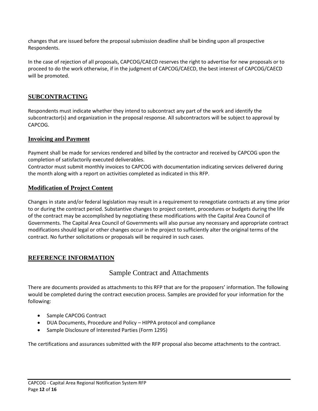changes that are issued before the proposal submission deadline shall be binding upon all prospective Respondents.

In the case of rejection of all proposals, CAPCOG/CAECD reserves the right to advertise for new proposals or to proceed to do the work otherwise, if in the judgment of CAPCOG/CAECD, the best interest of CAPCOG/CAECD will be promoted.

## <span id="page-12-0"></span>**SUBCONTRACTING**

Respondents must indicate whether they intend to subcontract any part of the work and identify the subcontractor(s) and organization in the proposal response. All subcontractors will be subject to approval by CAPCOG.

## <span id="page-12-1"></span>**Invoicing and Payment**

Payment shall be made for services rendered and billed by the contractor and received by CAPCOG upon the completion of satisfactorily executed deliverables.

Contractor must submit monthly invoices to CAPCOG with documentation indicating services delivered during the month along with a report on activities completed as indicated in this RFP.

## <span id="page-12-2"></span>**Modification of Project Content**

Changes in state and/or federal legislation may result in a requirement to renegotiate contracts at any time prior to or during the contract period. Substantive changes to project content, procedures or budgets during the life of the contract may be accomplished by negotiating these modifications with the Capital Area Council of Governments. The Capital Area Council of Governments will also pursue any necessary and appropriate contract modifications should legal or other changes occur in the project to sufficiently alter the original terms of the contract. No further solicitations or proposals will be required in such cases.

## <span id="page-12-4"></span><span id="page-12-3"></span>**REFERENCE INFORMATION**

## Sample Contract and Attachments

There are documents provided as attachments to this RFP that are for the proposers' information. The following would be completed during the contract execution process. Samples are provided for your information for the following:

- Sample CAPCOG Contract
- DUA Documents, Procedure and Policy HIPPA protocol and compliance
- Sample Disclosure of Interested Parties (Form 1295)

The certifications and assurances submitted with the RFP proposal also become attachments to the contract.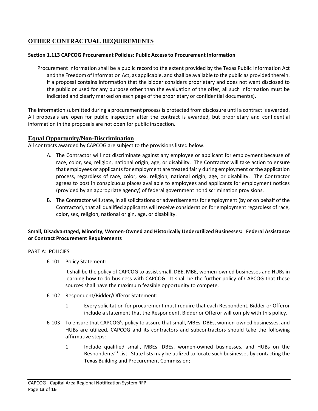## <span id="page-13-0"></span>**OTHER CONTRACTUAL REQUIREMENTS**

#### **Section 1.113 CAPCOG Procurement Policies: Public Access to Procurement Information**

Procurement information shall be a public record to the extent provided by the Texas Public Information Act and the Freedom of Information Act, as applicable, and shall be available to the public as provided therein. If a proposal contains information that the bidder considers proprietary and does not want disclosed to the public or used for any purpose other than the evaluation of the offer, all such information must be indicated and clearly marked on each page of the proprietary or confidential document(s).

The information submitted during a procurement process is protected from disclosure until a contract is awarded. All proposals are open for public inspection after the contract is awarded, but proprietary and confidential information in the proposals are not open for public inspection.

## <span id="page-13-1"></span>**Equal Opportunity/Non-Discrimination**

All contracts awarded by CAPCOG are subject to the provisions listed below.

- A. The Contractor will not discriminate against any employee or applicant for employment because of race, color, sex, religion, national origin, age, or disability. The Contractor will take action to ensure that employees or applicants for employment are treated fairly during employment or the application process, regardless of race, color, sex, religion, national origin, age, or disability. The Contractor agrees to post in conspicuous places available to employees and applicants for employment notices (provided by an appropriate agency) of federal government nondiscrimination provisions.
- B. The Contractor will state, in all solicitations or advertisements for employment (by or on behalf of the Contractor), that all qualified applicants will receive consideration for employment regardless of race, color, sex, religion, national origin, age, or disability.

#### **Small, Disadvantaged, Minority, Women-Owned and Historically Underutilized Businesses: Federal Assistance or Contract Procurement Requirements**

#### PART A: POLICIES

6-101 Policy Statement:

It shall be the policy of CAPCOG to assist small, DBE, MBE, women-owned businesses and HUBs in learning how to do business with CAPCOG. It shall be the further policy of CAPCOG that these sources shall have the maximum feasible opportunity to compete.

- 6-102 Respondent/Bidder/Offeror Statement:
	- 1. Every solicitation for procurement must require that each Respondent, Bidder or Offeror include a statement that the Respondent, Bidder or Offeror will comply with this policy.
- 6-103 To ensure that CAPCOG's policy to assure that small, MBEs, DBEs, women-owned businesses, and HUBs are utilized, CAPCOG and its contractors and subcontractors should take the following affirmative steps:
	- 1. Include qualified small, MBEs, DBEs, women-owned businesses, and HUBs on the Respondents' ' List. State lists may be utilized to locate such businesses by contacting the Texas Building and Procurement Commission;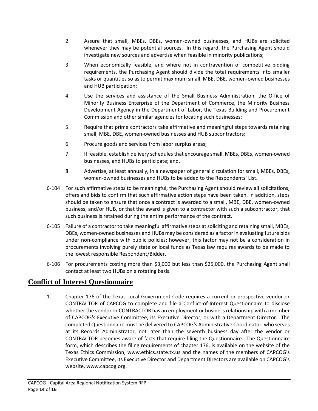- 2. Assure that small, MBEs, DBEs, women-owned businesses, and HUBs are solicited whenever they may be potential sources. In this regard, the Purchasing Agent should investigate new sources and advertise when feasible in minority publications;
- 3. When economically feasible, and where not in contravention of competitive bidding requirements, the Purchasing Agent should divide the total requirements into smaller tasks or quantities so as to permit maximum small, MBE, DBE, women-owned businesses and HUB participation;
- 4. Use the services and assistance of the Small Business Administration, the Office of Minority Business Enterprise of the Department of Commerce, the Minority Business Development Agency in the Department of Labor, the Texas Building and Procurement Commission and other similar agencies for locating such businesses;
- 5. Require that prime contractors take affirmative and meaningful steps towards retaining small, MBE, DBE, women-owned businesses and HUB subcontractors;
- 6. Procure goods and services from labor surplus areas;
- 7. If feasible, establish delivery schedules that encourage small, MBEs, DBEs, women-owned businesses, and HUBs to participate; and,
- 8. Advertise, at least annually, in a newspaper of general circulation for small, MBEs, DBEs, women-owned businesses and HUBs to be added to the Respondents' List.
- 6-104 For such affirmative steps to be meaningful, the Purchasing Agent should review all solicitations, offers and bids to confirm that such affirmative action steps have been taken. In addition, steps should be taken to ensure that once a contract is awarded to a small, MBE, DBE, women-owned business, and/or HUB, or that the award is given to a contractor with such a subcontractor, that such business is retained during the entire performance of the contract.
- 6-105 Failure of a contractor to take meaningful affirmative steps at soliciting and retaining small, MBEs, DBEs, women-owned businesses and HUBs may be considered as a factor in evaluating future bids under non-compliance with public policies; however, this factor may not be a consideration in procurements involving purely state or local funds as Texas law requires awards to be made to the lowest responsible Respondent/Bidder.
- 6-106 For procurements costing more than \$3,000 but less than \$25,000, the Purchasing Agent shall contact at least two HUBs on a rotating basis.

# <span id="page-14-0"></span>**Conflict of Interest Questionnaire**

1. Chapter 176 of the Texas Local Government Code requires a current or prospective vendor or CONTRACTOR of CAPCOG to complete and file a Conflict-of-Interest Questionnaire to disclose whether the vendor or CONTRACTOR has an employment or business relationship with a member of CAPCOG's Executive Committee, its Executive Director, or with a Department Director. The completed Questionnaire must be delivered to CAPCOG's Administrative Coordinator, who serves at its Records Administrator, not later than the seventh business day after the vendor or CONTRACTOR becomes aware of facts that require filing the Questionnaire. The Questionnaire form, which describes the filing requirements of chapter 176, is available on the website of the Texas Ethics Commission, www.ethics.state.tx.us and the names of the members of CAPCOG's Executive Committee, its Executive Director and Department Directors are available on CAPCOG's website, www.capcog.org.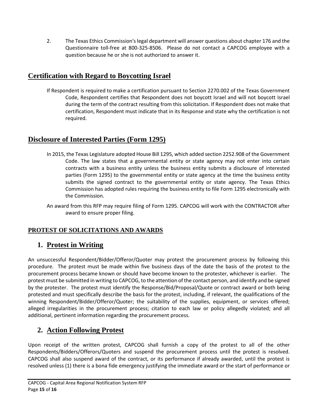2. The Texas Ethics Commission's legal department will answer questions about chapter 176 and the Questionnaire toll-free at 800-325-8506. Please do not contact a CAPCOG employee with a question because he or she is not authorized to answer it.

## <span id="page-15-0"></span>**Certification with Regard to Boycotting Israel**

If Respondent is required to make a certification pursuant to Section 2270.002 of the Texas Government Code, Respondent certifies that Respondent does not boycott Israel and will not boycott Israel during the term of the contract resulting from this solicitation. If Respondent does not make that certification, Respondent must indicate that in its Response and state why the certification is not required.

# <span id="page-15-1"></span>**Disclosure of Interested Parties (Form 1295)**

- In 2015, the Texas Legislature adopted House Bill 1295, which added section 2252.908 of the Government Code. The law states that a governmental entity or state agency may not enter into certain contracts with a business entity unless the business entity submits a disclosure of interested parties (Form 1295) to the governmental entity or state agency at the time the business entity submits the signed contract to the governmental entity or state agency. The Texas Ethics Commission has adopted rules requiring the business entity to file Form 1295 electronically with the Commission.
- An award from this RFP may require filing of Form 1295. CAPCOG will work with the CONTRACTOR after award to ensure proper filing.

## <span id="page-15-2"></span>**PROTEST OF SOLICITATIONS AND AWARDS**

# <span id="page-15-3"></span>**1. Protest in Writing**

An unsuccessful Respondent/Bidder/Offeror/Quoter may protest the procurement process by following this procedure. The protest must be made within five business days of the date the basis of the protest to the procurement process became known or should have become known to the protester, whichever is earlier. The protest must be submitted in writing to CAPCOG, to the attention of the contact person, and identify and be signed by the protester. The protest must identify the Response/Bid/Proposal/Quote or contract award or both being protested and must specifically describe the basis for the protest, including, if relevant, the qualifications of the winning Respondent/Bidder/Offeror/Quoter; the suitability of the supplies, equipment, or services offered; alleged irregularities in the procurement process; citation to each law or policy allegedly violated; and all additional, pertinent information regarding the procurement process.

# <span id="page-15-4"></span>**2. Action Following Protest**

Upon receipt of the written protest, CAPCOG shall furnish a copy of the protest to all of the other Respondents/Bidders/Offerors/Quoters and suspend the procurement process until the protest is resolved. CAPCOG shall also suspend award of the contract, or its performance if already awarded, until the protest is resolved unless (1) there is a bona fide emergency justifying the immediate award or the start of performance or